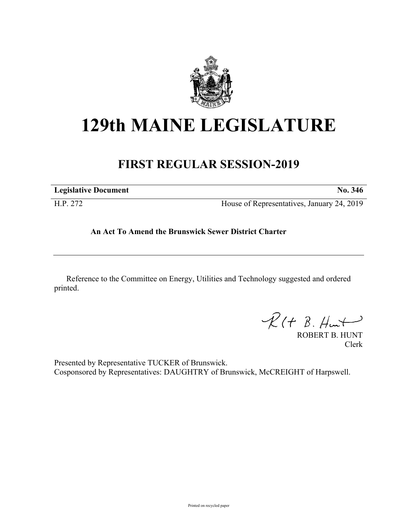

## **129th MAINE LEGISLATURE**

## **FIRST REGULAR SESSION-2019**

| <b>Legislative Document</b> | No. 346                                    |
|-----------------------------|--------------------------------------------|
| H.P. 272                    | House of Representatives, January 24, 2019 |

## **An Act To Amend the Brunswick Sewer District Charter**

Reference to the Committee on Energy, Utilities and Technology suggested and ordered printed.

 $R(H B. H<sub>un</sub>)$ 

ROBERT B. HUNT Clerk

Presented by Representative TUCKER of Brunswick. Cosponsored by Representatives: DAUGHTRY of Brunswick, McCREIGHT of Harpswell.